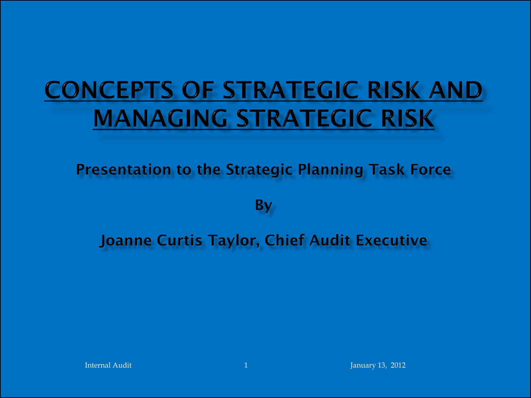# **CONCEPTS OF STRATEGIC RISK AND MANAGING STRATEGIC RISK**

**Presentation to the Strategic Planning Task Force** 

**By** 

**Joanne Curtis Taylor, Chief Audit Executive**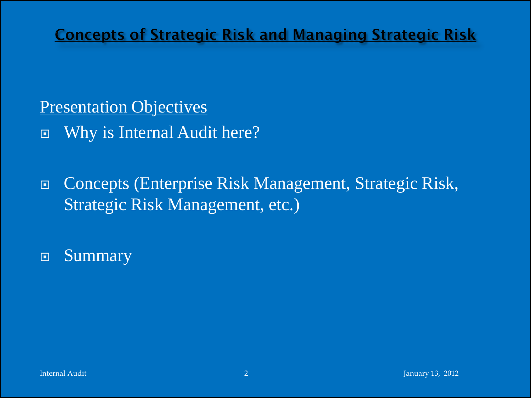### **Presentation Objectives**

Why is Internal Audit here?

 Concepts (Enterprise Risk Management, Strategic Risk, Strategic Risk Management, etc.)

Summary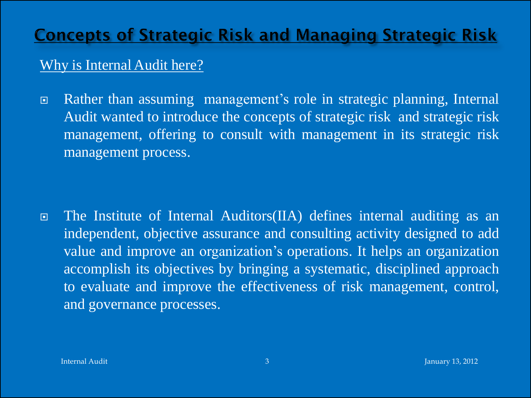#### Why is Internal Audit here?

■ Rather than assuming management's role in strategic planning, Internal Audit wanted to introduce the concepts of strategic risk and strategic risk management, offering to consult with management in its strategic risk management process.

 The Institute of Internal Auditors(IIA) defines internal auditing as an independent, objective assurance and consulting activity designed to add value and improve an organization's operations. It helps an organization accomplish its objectives by bringing a systematic, disciplined approach to evaluate and improve the effectiveness of risk management, control, and governance processes.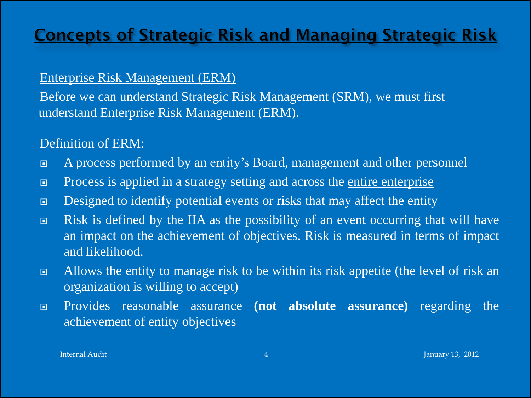#### Enterprise Risk Management (ERM)

Before we can understand Strategic Risk Management (SRM), we must first understand Enterprise Risk Management (ERM).

#### Definition of ERM:

- A process performed by an entity's Board, management and other personnel
- □ Process is applied in a strategy setting and across the entire enterprise
- Designed to identify potential events or risks that may affect the entity
- Risk is defined by the IIA as the possibility of an event occurring that will have an impact on the achievement of objectives. Risk is measured in terms of impact and likelihood.
- □ Allows the entity to manage risk to be within its risk appetite (the level of risk an organization is willing to accept)
- Provides reasonable assurance **(not absolute assurance)** regarding the achievement of entity objectives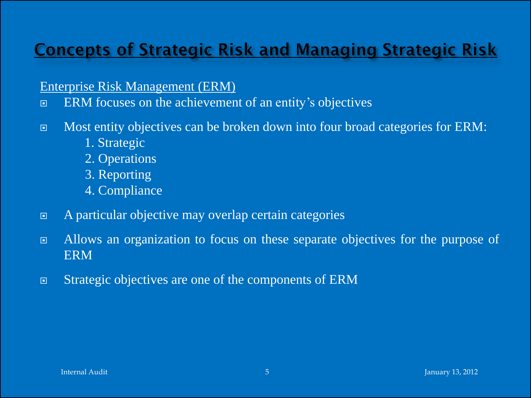Enterprise Risk Management (ERM)

- **ERM** focuses on the achievement of an entity's objectives
- Most entity objectives can be broken down into four broad categories for ERM:
	- 1. Strategic
	- 2. Operations
	- 3. Reporting
	- 4. Compliance
- A particular objective may overlap certain categories
- Allows an organization to focus on these separate objectives for the purpose of ERM
- Strategic objectives are one of the components of ERM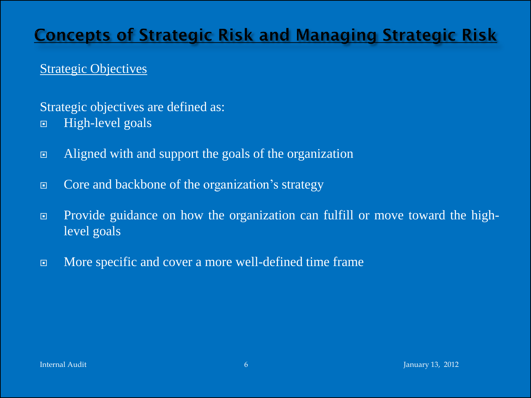#### Strategic Objectives

#### Strategic objectives are defined as:

- □ High-level goals
- Aligned with and support the goals of the organization
- Core and backbone of the organization's strategy
- Provide guidance on how the organization can fulfill or move toward the highlevel goals
- **EXECUTE:** More specific and cover a more well-defined time frame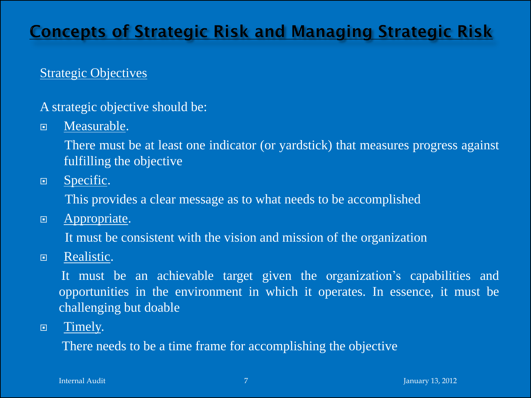#### Strategic Objectives

- A strategic objective should be:
- D Measurable.

There must be at least one indicator (or yardstick) that measures progress against fulfilling the objective

**E** Specific.

This provides a clear message as to what needs to be accomplished

**E** Appropriate.

It must be consistent with the vision and mission of the organization

**E** Realistic.

It must be an achievable target given the organization's capabilities and opportunities in the environment in which it operates. In essence, it must be challenging but doable

**E** Timely.

There needs to be a time frame for accomplishing the objective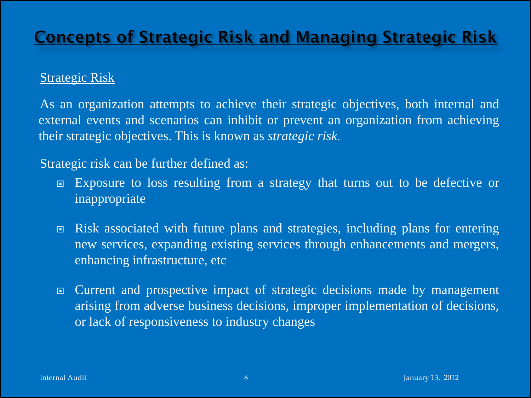#### Strategic Risk

As an organization attempts to achieve their strategic objectives, both internal and external events and scenarios can inhibit or prevent an organization from achieving their strategic objectives. This is known as *strategic risk.*

#### Strategic risk can be further defined as:

- Exposure to loss resulting from a strategy that turns out to be defective or inappropriate
- Risk associated with future plans and strategies, including plans for entering new services, expanding existing services through enhancements and mergers, enhancing infrastructure, etc
- Current and prospective impact of strategic decisions made by management arising from adverse business decisions, improper implementation of decisions, or lack of responsiveness to industry changes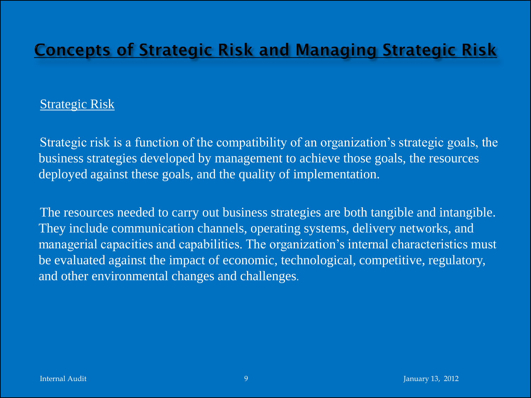#### Strategic Risk

Strategic risk is a function of the compatibility of an organization's strategic goals, the business strategies developed by management to achieve those goals, the resources deployed against these goals, and the quality of implementation.

The resources needed to carry out business strategies are both tangible and intangible. They include communication channels, operating systems, delivery networks, and managerial capacities and capabilities. The organization's internal characteristics must be evaluated against the impact of economic, technological, competitive, regulatory, and other environmental changes and challenges.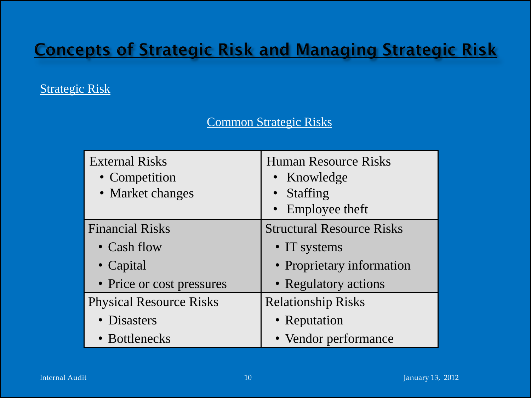#### Strategic Risk

#### Common Strategic Risks

| <b>External Risks</b><br>• Competition<br>• Market changes | <b>Human Resource Risks</b><br>• Knowledge<br><b>Staffing</b><br>• Employee theft |
|------------------------------------------------------------|-----------------------------------------------------------------------------------|
| <b>Financial Risks</b>                                     | <b>Structural Resource Risks</b>                                                  |
| • Cash flow                                                | • IT systems                                                                      |
| • Capital                                                  | • Proprietary information                                                         |
| • Price or cost pressures                                  | • Regulatory actions                                                              |
| <b>Physical Resource Risks</b>                             | <b>Relationship Risks</b>                                                         |
| • Disasters                                                | • Reputation                                                                      |
| • Bottlenecks                                              | • Vendor performance                                                              |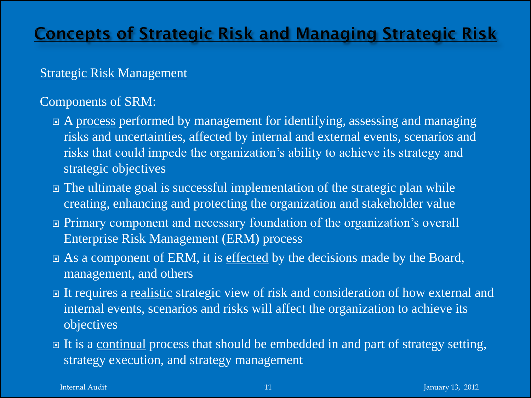#### Strategic Risk Management

#### Components of SRM:

- A process performed by management for identifying, assessing and managing risks and uncertainties, affected by internal and external events, scenarios and risks that could impede the organization's ability to achieve its strategy and strategic objectives
- The ultimate goal is successful implementation of the strategic plan while creating, enhancing and protecting the organization and stakeholder value
- Primary component and necessary foundation of the organization's overall Enterprise Risk Management (ERM) process
- As a component of ERM, it is effected by the decisions made by the Board, management, and others
- It requires a realistic strategic view of risk and consideration of how external and internal events, scenarios and risks will affect the organization to achieve its objectives
- □ It is a continual process that should be embedded in and part of strategy setting, strategy execution, and strategy management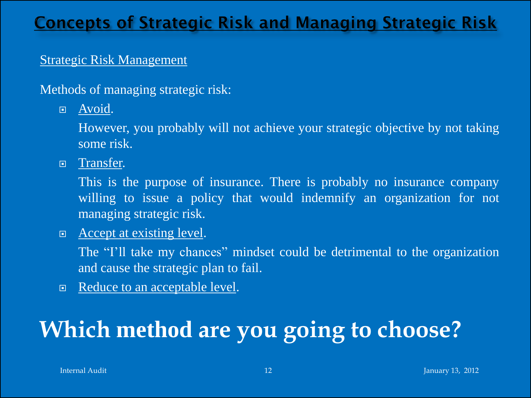#### Strategic Risk Management

Methods of managing strategic risk:

**E** Avoid.

However, you probably will not achieve your strategic objective by not taking some risk.

□ Transfer.

This is the purpose of insurance. There is probably no insurance company willing to issue a policy that would indemnify an organization for not managing strategic risk.

□ Accept at existing level.

The "I'll take my chances" mindset could be detrimental to the organization and cause the strategic plan to fail.

Reduce to an acceptable level.

## **Which method are you going to choose?**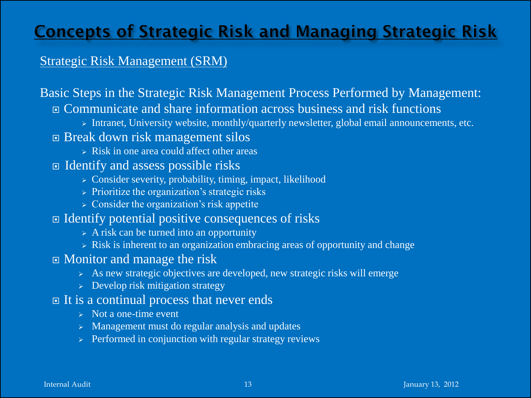#### Strategic Risk Management (SRM)

#### Basic Steps in the Strategic Risk Management Process Performed by Management: Communicate and share information across business and risk functions

> Intranet, University website, monthly/quarterly newsletter, global email announcements, etc.

#### Break down risk management silos

- $\triangleright$  Risk in one area could affect other areas
- $\Box$  Identify and assess possible risks
	- $\triangleright$  Consider severity, probability, timing, impact, likelihood
	- $\triangleright$  Prioritize the organization's strategic risks
	- $\triangleright$  Consider the organization's risk appetite
- $\Box$  Identify potential positive consequences of risks
	- $\triangleright$  A risk can be turned into an opportunity
	- $\triangleright$  Risk is inherent to an organization embracing areas of opportunity and change
- Monitor and manage the risk
	- $\triangleright$  As new strategic objectives are developed, new strategic risks will emerge
	- $\geq$  Develop risk mitigation strategy

#### $\Box$  It is a continual process that never ends

- $\triangleright$  Not a one-time event
- $\triangleright$  Management must do regular analysis and updates
- $\triangleright$  Performed in conjunction with regular strategy reviews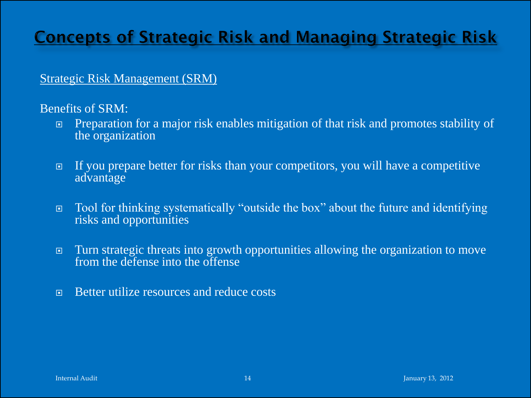#### Strategic Risk Management (SRM)

Benefits of SRM:

- Preparation for a major risk enables mitigation of that risk and promotes stability of the organization
- If you prepare better for risks than your competitors, you will have a competitive advantage
- Tool for thinking systematically "outside the box" about the future and identifying risks and opportunities
- Turn strategic threats into growth opportunities allowing the organization to move from the defense into the offense
- Better utilize resources and reduce costs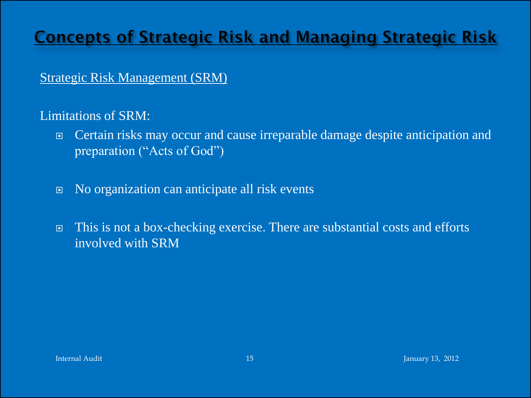#### Strategic Risk Management (SRM)

Limitations of SRM:

- Certain risks may occur and cause irreparable damage despite anticipation and preparation ("Acts of God")
- No organization can anticipate all risk events
- This is not a box-checking exercise. There are substantial costs and efforts involved with SRM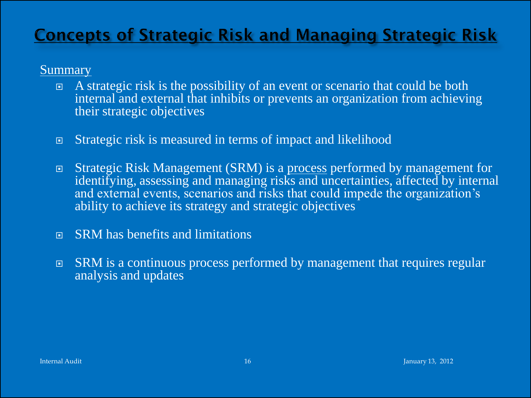#### **Summary**

- A strategic risk is the possibility of an event or scenario that could be both internal and external that inhibits or prevents an organization from achieving their strategic objectives
- **Extrategic risk is measured in terms of impact and likelihood**
- Strategic Risk Management (SRM) is a process performed by management for identifying, assessing and managing risks and uncertainties, affected by internal and external events, scenarios and risks that could impede the organization's ability to achieve its strategy and strategic objectives
- SRM has benefits and limitations
- SRM is a continuous process performed by management that requires regular analysis and updates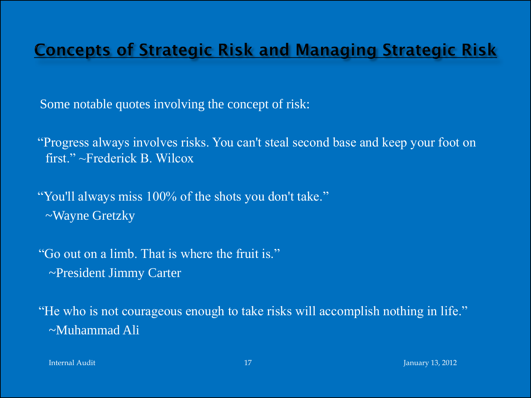Some notable quotes involving the concept of risk:

"Progress always involves risks. You can't steal second base and keep your foot on first." ~Frederick B. Wilcox

"You'll always miss 100% of the shots you don't take." ~Wayne Gretzky

"Go out on a limb. That is where the fruit is." ~President Jimmy Carter

"He who is not courageous enough to take risks will accomplish nothing in life." ~Muhammad Ali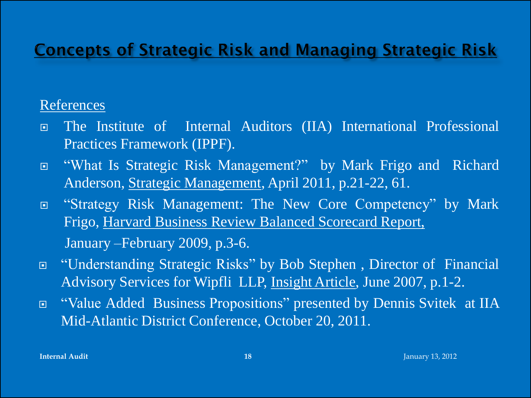#### References

- The Institute of Internal Auditors (IIA) International Professional Practices Framework (IPPF).
- "What Is Strategic Risk Management?" by Mark Frigo and Richard Anderson, Strategic Management, April 2011, p.21-22, 61.
- "Strategy Risk Management: The New Core Competency" by Mark Frigo, Harvard Business Review Balanced Scorecard Report, January –February 2009, p.3-6.
- "Understanding Strategic Risks" by Bob Stephen , Director of Financial Advisory Services for Wipfli LLP, Insight Article, June 2007, p.1-2.
- □ "Value Added Business Propositions" presented by Dennis Svitek at IIA Mid-Atlantic District Conference, October 20, 2011.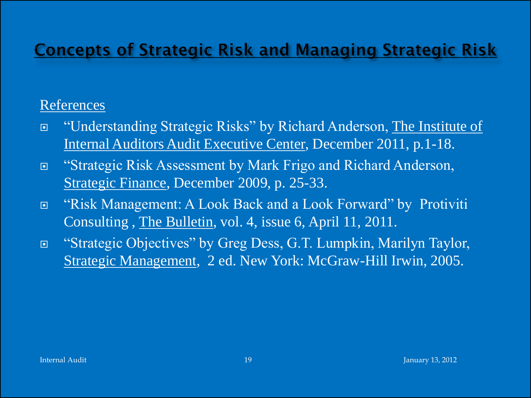#### References

- □ "Understanding Strategic Risks" by Richard Anderson, The Institute of Internal Auditors Audit Executive Center, December 2011, p.1-18.
- "Strategic Risk Assessment by Mark Frigo and Richard Anderson, Strategic Finance, December 2009, p. 25-33.
- "Risk Management: A Look Back and a Look Forward" by Protiviti Consulting , The Bulletin, vol. 4, issue 6, April 11, 2011.
- "Strategic Objectives" by Greg Dess, G.T. Lumpkin, Marilyn Taylor, Strategic Management, 2 ed. New York: McGraw-Hill Irwin, 2005.